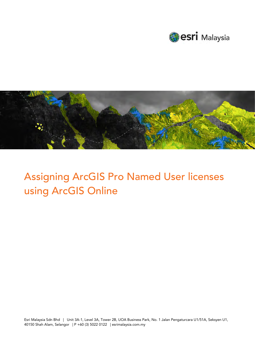



## Assigning ArcGIS Pro Named User licenses using ArcGIS Online

Esri Malaysia Sdn Bhd | Unit 3A-1, Level 3A, Tower 2B, UOA Business Park, No. 1 Jalan Pengaturcara U1/51A, Seksyen U1, 40150 Shah Alam, Selangor | P +60 (3) 5022 0122 | esrimalaysia.com.my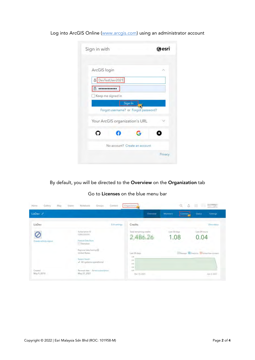Log into ArcGIS Online [\(www.arcgis.com\)](http://www.arcgis.com/) using an administrator account

| Sign in with                   | esri                                            |
|--------------------------------|-------------------------------------------------|
| ArcGIS login                   |                                                 |
| 8 DevTestUser2021              |                                                 |
| a<br>Keep me signed in         |                                                 |
|                                | Sign In<br>Forgot username? or Forgot password? |
| Your ArcGIS organization's URL |                                                 |
|                                |                                                 |
|                                | No account? Create an account                   |
|                                | Privacy                                         |

By default, you will be directed to the Overview on the Organization tab

Go to Licenses on the blue menu bar

| LizDev /                |                                                                                        | Overview                                     | <b>Members</b><br>Licenses<br>- 33 | <b>Settings</b><br><b>Status</b>     |
|-------------------------|----------------------------------------------------------------------------------------|----------------------------------------------|------------------------------------|--------------------------------------|
| LizDev                  | Edit settings                                                                          | Credits                                      |                                    | View status                          |
| Create activity report- | Subscription ID<br>Feature Data Store<br>Standard                                      | Total remaining credits<br>2,486.26          | Last 30 days<br>.08                | Last 24 hours<br>0.04                |
|                         | Regional data hosting (D)<br>United States<br>System health<br>All systems operational | Last 30 days<br>0.04<br>383<br>$-10$<br>6.66 |                                    | Storage Analytics Subscriber content |
| Created<br>May 9, 2018  | Renewal date - Renew subscription-<br>May 21, 2021                                     | $-10$<br>Mai 10/2021                         |                                    | Api 9, 2021                          |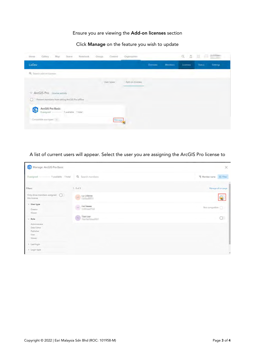## Ensure you are viewing the Add-on licenses section

## Click Manage on the feature you wish to update

| Map<br>Gallery.<br>Home<br>Notebook<br>Scene                                   | Content<br>Groups | Organization    |                | $\alpha$<br>Δ | a<br>m                    |
|--------------------------------------------------------------------------------|-------------------|-----------------|----------------|---------------|---------------------------|
| LizDev                                                                         |                   | Overview        | <b>Members</b> | Licenses      | Settings<br><b>Status</b> |
| Q. Search add-on licenses                                                      |                   |                 |                |               |                           |
|                                                                                | User types        | Add-on licenses |                |               |                           |
| V ArcGIS Pro License activity                                                  |                   |                 |                |               |                           |
| Prevent members from taking ArcGIS Pro offline<br>c                            |                   |                 |                |               |                           |
| ArcGIS Pro Basic<br>$\boldsymbol{\Theta}$<br>1 available 1 total<br>0 assigned |                   |                 |                |               |                           |
| Compatible user types                                                          | Manage            |                 |                |               |                           |
|                                                                                |                   |                 |                |               |                           |

A list of current users will appear. Select the user you are assigning the ArcGIS Pro license to

| Manage: ArcGIS Pro Basic                                                                                |                                                                        | ×                        |
|---------------------------------------------------------------------------------------------------------|------------------------------------------------------------------------|--------------------------|
| 0 antigned - 1 available 1 total                                                                        | Q. Search members<br>œ                                                 | Tij Membername 111 Filmr |
| Filters                                                                                                 | $1 - 3$ of $2$                                                         | Manage all on page       |
| Only show members assigned Q<br>this license                                                            | io 23 Th                                                               | ⊕                        |
| $\vee$ Usertype<br>Creator                                                                              | $\label{eq:1} \begin{array}{ll} \alpha & \text{for $n=1$} \end{array}$ | Not compatible           |
| <b>Yester</b><br>$\sim$ Role<br>Administrator<br>Data Editor<br>Publisher<br>User<br>Vewer <sup>*</sup> | $w = 1$                                                                | $\circ$                  |
| > Lest login                                                                                            |                                                                        |                          |
| > Login type                                                                                            |                                                                        | ٠                        |